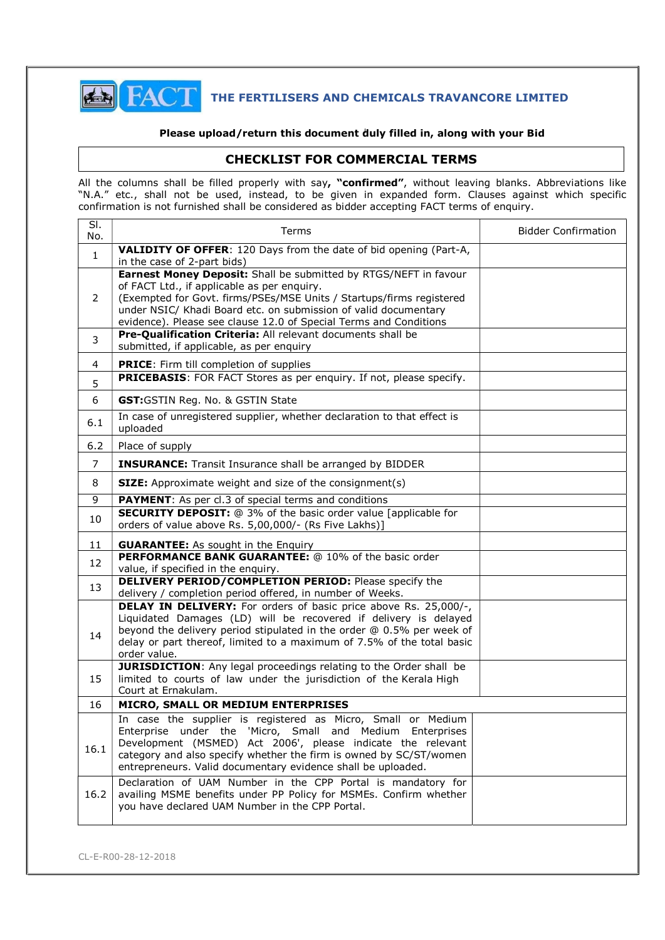

# **THE FERTILISERS AND CHEMICALS TRAVANCORE LIMITED**

#### Please upload/return this document duly filled in, along with your Bid

### CHECKLIST FOR COMMERCIAL TERMS

All the columns shall be filled properly with say, "**confirmed"**, without leaving blanks. Abbreviations like "N.A." etc., shall not be used, instead, to be given in expanded form. Clauses against which specific confirmation is not furnished shall be considered as bidder accepting FACT terms of enquiry.

| SI.<br>No.     | Terms                                                                                                                                                                                                                                                                                                                           | <b>Bidder Confirmation</b> |
|----------------|---------------------------------------------------------------------------------------------------------------------------------------------------------------------------------------------------------------------------------------------------------------------------------------------------------------------------------|----------------------------|
| $\mathbf{1}$   | <b>VALIDITY OF OFFER:</b> 120 Days from the date of bid opening (Part-A,<br>in the case of 2-part bids)                                                                                                                                                                                                                         |                            |
| $\overline{2}$ | Earnest Money Deposit: Shall be submitted by RTGS/NEFT in favour<br>of FACT Ltd., if applicable as per enquiry.<br>(Exempted for Govt. firms/PSEs/MSE Units / Startups/firms registered<br>under NSIC/ Khadi Board etc. on submission of valid documentary<br>evidence). Please see clause 12.0 of Special Terms and Conditions |                            |
| 3              | Pre-Qualification Criteria: All relevant documents shall be<br>submitted, if applicable, as per enquiry                                                                                                                                                                                                                         |                            |
| 4              | <b>PRICE:</b> Firm till completion of supplies                                                                                                                                                                                                                                                                                  |                            |
| 5              | PRICEBASIS: FOR FACT Stores as per enquiry. If not, please specify.                                                                                                                                                                                                                                                             |                            |
| 6              | GST:GSTIN Reg. No. & GSTIN State                                                                                                                                                                                                                                                                                                |                            |
| 6.1            | In case of unregistered supplier, whether declaration to that effect is<br>uploaded                                                                                                                                                                                                                                             |                            |
| 6.2            | Place of supply                                                                                                                                                                                                                                                                                                                 |                            |
| 7              | <b>INSURANCE:</b> Transit Insurance shall be arranged by BIDDER                                                                                                                                                                                                                                                                 |                            |
| 8              | <b>SIZE:</b> Approximate weight and size of the consignment(s)                                                                                                                                                                                                                                                                  |                            |
| $\overline{9}$ | <b>PAYMENT:</b> As per cl.3 of special terms and conditions                                                                                                                                                                                                                                                                     |                            |
| 10             | <b>SECURITY DEPOSIT:</b> @ 3% of the basic order value [applicable for<br>orders of value above Rs. 5,00,000/- (Rs Five Lakhs)]                                                                                                                                                                                                 |                            |
| 11             | <b>GUARANTEE:</b> As sought in the Enquiry                                                                                                                                                                                                                                                                                      |                            |
| 12             | PERFORMANCE BANK GUARANTEE: @ 10% of the basic order<br>value, if specified in the enquiry.                                                                                                                                                                                                                                     |                            |
| 13             | <b>DELIVERY PERIOD/COMPLETION PERIOD:</b> Please specify the<br>delivery / completion period offered, in number of Weeks.                                                                                                                                                                                                       |                            |
| 14             | <b>DELAY IN DELIVERY:</b> For orders of basic price above Rs. 25,000/-,<br>Liquidated Damages (LD) will be recovered if delivery is delayed<br>beyond the delivery period stipulated in the order @ 0.5% per week of<br>delay or part thereof, limited to a maximum of 7.5% of the total basic<br>order value.                  |                            |
| 15             | <b>JURISDICTION:</b> Any legal proceedings relating to the Order shall be<br>limited to courts of law under the jurisdiction of the Kerala High<br>Court at Ernakulam.                                                                                                                                                          |                            |
| 16             | MICRO, SMALL OR MEDIUM ENTERPRISES                                                                                                                                                                                                                                                                                              |                            |
| 16.1           | In case the supplier is registered as Micro, Small or Medium<br>Enterprise under the 'Micro, Small and Medium Enterprises<br>Development (MSMED) Act 2006', please indicate the relevant<br>category and also specify whether the firm is owned by SC/ST/women<br>entrepreneurs. Valid documentary evidence shall be uploaded.  |                            |
| 16.2           | Declaration of UAM Number in the CPP Portal is mandatory for<br>availing MSME benefits under PP Policy for MSMEs. Confirm whether<br>you have declared UAM Number in the CPP Portal.                                                                                                                                            |                            |